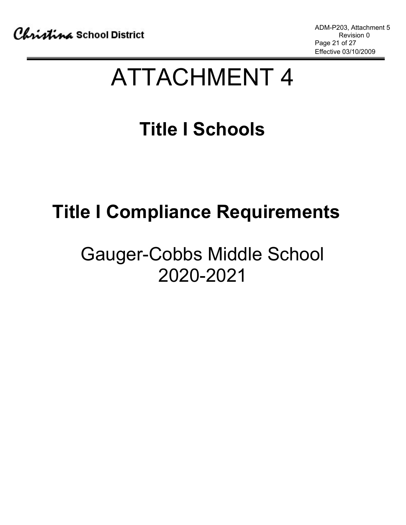# ATTACHMENT 4

## **Title I Schools**

## **Title I Compliance Requirements**

### Gauger-Cobbs Middle School 2020-2021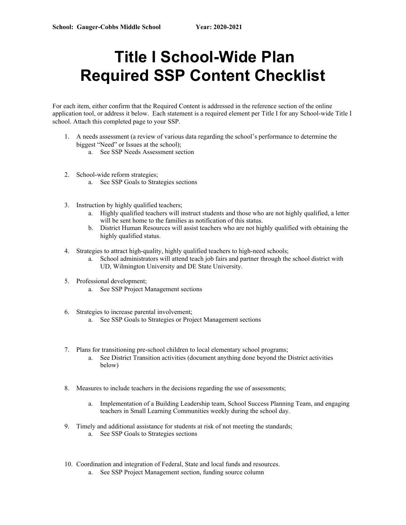### **Title I School-Wide Plan Required SSP Content Checklist**

For each item, either confirm that the Required Content is addressed in the reference section of the online application tool, or address it below. Each statement is a required element per Title I for any School-wide Title I school. Attach this completed page to your SSP.

- 1. A needs assessment (a review of various data regarding the school's performance to determine the biggest "Need" or Issues at the school);
	- a. See SSP Needs Assessment section
- 2. School-wide reform strategies;
	- a. See SSP Goals to Strategies sections
- 3. Instruction by highly qualified teachers;
	- a. Highly qualified teachers will instruct students and those who are not highly qualified, a letter will be sent home to the families as notification of this status.
	- b. District Human Resources will assist teachers who are not highly qualified with obtaining the highly qualified status.
- 4. Strategies to attract high-quality, highly qualified teachers to high-need schools;
	- a. School administrators will attend teach job fairs and partner through the school district with UD, Wilmington University and DE State University.
- 5. Professional development;
	- a. See SSP Project Management sections
- 6. Strategies to increase parental involvement;
	- a. See SSP Goals to Strategies or Project Management sections
- 7. Plans for transitioning pre-school children to local elementary school programs; a. See District Transition activities (document anything done beyond the District activities below)
- 8. Measures to include teachers in the decisions regarding the use of assessments;
	- a. Implementation of a Building Leadership team, School Success Planning Team, and engaging teachers in Small Learning Communities weekly during the school day.
- 9. Timely and additional assistance for students at risk of not meeting the standards; a. See SSP Goals to Strategies sections
- 10. Coordination and integration of Federal, State and local funds and resources.
	- a. See SSP Project Management section, funding source column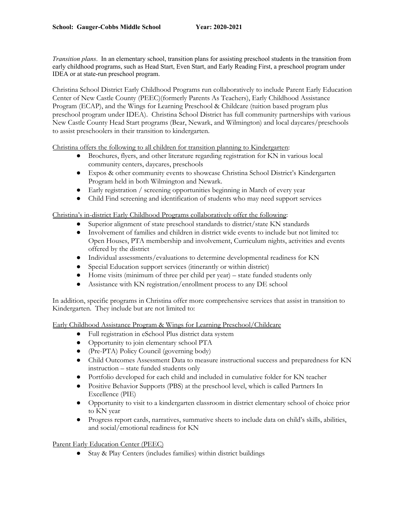*Transition plans*. In an elementary school, transition plans for assisting preschool students in the transition from early childhood programs, such as Head Start, Even Start, and Early Reading First, a preschool program under IDEA or at state-run preschool program.

Christina School District Early Childhood Programs run collaboratively to include Parent Early Education Center of New Castle County (PEEC)(formerly Parents As Teachers), Early Childhood Assistance Program (ECAP), and the Wings for Learning Preschool & Childcare (tuition based program plus preschool program under IDEA). Christina School District has full community partnerships with various New Castle County Head Start programs (Bear, Newark, and Wilmington) and local daycares/preschools to assist preschoolers in their transition to kindergarten.

Christina offers the following to all children for transition planning to Kindergarten:

- Brochures, flyers, and other literature regarding registration for KN in various local community centers, daycares, preschools
- Expos & other community events to showcase Christina School District's Kindergarten Program held in both Wilmington and Newark.
- Early registration / screening opportunities beginning in March of every year
- Child Find screening and identification of students who may need support services

#### Christina's in-district Early Childhood Programs collaboratively offer the following:

- Superior alignment of state preschool standards to district/state KN standards
- Involvement of families and children in district wide events to include but not limited to: Open Houses, PTA membership and involvement, Curriculum nights, activities and events offered by the district
- Individual assessments/evaluations to determine developmental readiness for KN
- Special Education support services (itinerantly or within district)
- Home visits (minimum of three per child per year) state funded students only
- Assistance with KN registration/enrollment process to any DE school

In addition, specific programs in Christina offer more comprehensive services that assist in transition to Kindergarten. They include but are not limited to:

Early Childhood Assistance Program & Wings for Learning Preschool/Childcare

- Full registration in eSchool Plus district data system
- Opportunity to join elementary school PTA
- (Pre-PTA) Policy Council (governing body)
- Child Outcomes Assessment Data to measure instructional success and preparedness for KN instruction – state funded students only
- Portfolio developed for each child and included in cumulative folder for KN teacher
- Positive Behavior Supports (PBS) at the preschool level, which is called Partners In Excellence (PIE)
- Opportunity to visit to a kindergarten classroom in district elementary school of choice prior to KN year
- Progress report cards, narratives, summative sheets to include data on child's skills, abilities, and social/emotional readiness for KN

Parent Early Education Center (PEEC)

● Stay & Play Centers (includes families) within district buildings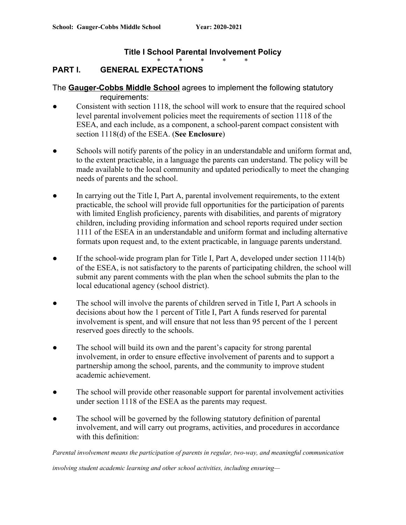#### **Title I School Parental Involvement Policy**

\* \* \* \* \*

#### **PART I. GENERAL EXPECTATIONS**

The **Gauger-Cobbs Middle School** agrees to implement the following statutory requirements:

- Consistent with section 1118, the school will work to ensure that the required school level parental involvement policies meet the requirements of section 1118 of the ESEA, and each include, as a component, a school-parent compact consistent with section 1118(d) of the ESEA. (**See Enclosure**)
- Schools will notify parents of the policy in an understandable and uniform format and, to the extent practicable, in a language the parents can understand. The policy will be made available to the local community and updated periodically to meet the changing needs of parents and the school.
- In carrying out the Title I, Part A, parental involvement requirements, to the extent practicable, the school will provide full opportunities for the participation of parents with limited English proficiency, parents with disabilities, and parents of migratory children, including providing information and school reports required under section 1111 of the ESEA in an understandable and uniform format and including alternative formats upon request and, to the extent practicable, in language parents understand.
- If the school-wide program plan for Title I, Part A, developed under section 1114(b) of the ESEA, is not satisfactory to the parents of participating children, the school will submit any parent comments with the plan when the school submits the plan to the local educational agency (school district).
- The school will involve the parents of children served in Title I, Part A schools in decisions about how the 1 percent of Title I, Part A funds reserved for parental involvement is spent, and will ensure that not less than 95 percent of the 1 percent reserved goes directly to the schools.
- The school will build its own and the parent's capacity for strong parental involvement, in order to ensure effective involvement of parents and to support a partnership among the school, parents, and the community to improve student academic achievement.
- The school will provide other reasonable support for parental involvement activities under section 1118 of the ESEA as the parents may request.
- The school will be governed by the following statutory definition of parental involvement, and will carry out programs, activities, and procedures in accordance with this definition:

*Parental involvement means the participation of parents in regular, two-way, and meaningful communication*

*involving student academic learning and other school activities, including ensuring—*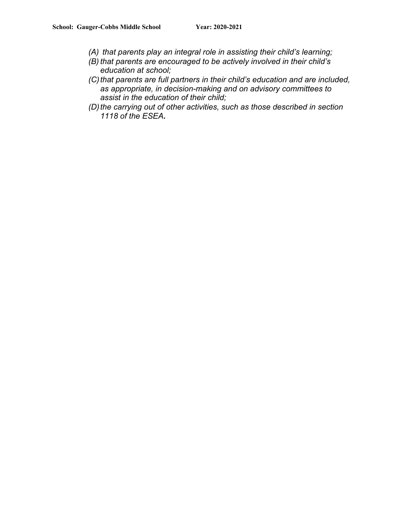- *(A) that parents play an integral role in assisting their child's learning;*
- *(B) that parents are encouraged to be actively involved in their child's education at school;*
- *(C)that parents are full partners in their child's education and are included, as appropriate, in decision-making and on advisory committees to assist in the education of their child;*
- *(D)the carrying out of other activities, such as those described in section 1118 of the ESEA.*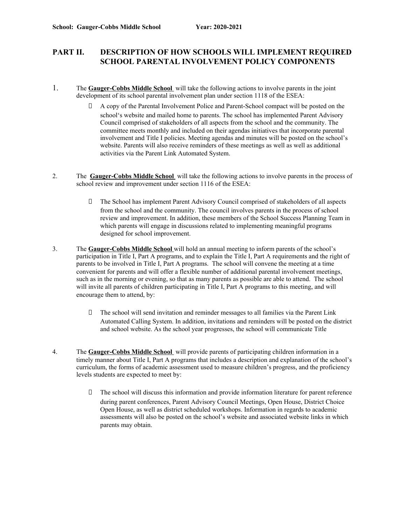#### **PART II. DESCRIPTION OF HOW SCHOOLS WILL IMPLEMENT REQUIRED SCHOOL PARENTAL INVOLVEMENT POLICY COMPONENTS**

- 1. The **Gauger-Cobbs Middle School** will take the following actions to involve parents in the joint development of its school parental involvement plan under section 1118 of the ESEA:
	- A copy of the Parental Involvement Police and Parent-School compact will be posted on the school's website and mailed home to parents. The school has implemented Parent Advisory Council comprised of stakeholders of all aspects from the school and the community. The committee meets monthly and included on their agendas initiatives that incorporate parental involvement and Title I policies. Meeting agendas and minutes will be posted on the school's website. Parents will also receive reminders of these meetings as well as well as additional activities via the Parent Link Automated System.
- 2. The **Gauger-Cobbs Middle School** will take the following actions to involve parents in the process of school review and improvement under section 1116 of the ESEA:
	- The School has implement Parent Advisory Council comprised of stakeholders of all aspects from the school and the community. The council involves parents in the process of school review and improvement. In addition, these members of the School Success Planning Team in which parents will engage in discussions related to implementing meaningful programs designed for school improvement.
- 3. The **Gauger-Cobbs Middle School** will hold an annual meeting to inform parents of the school's participation in Title I, Part A programs, and to explain the Title I, Part A requirements and the right of parents to be involved in Title I, Part A programs. The school will convene the meeting at a time convenient for parents and will offer a flexible number of additional parental involvement meetings, such as in the morning or evening, so that as many parents as possible are able to attend. The school will invite all parents of children participating in Title I, Part A programs to this meeting, and will encourage them to attend, by:
	- The school will send invitation and reminder messages to all families via the Parent Link Automated Calling System. In addition, invitations and reminders will be posted on the district and school website. As the school year progresses, the school will communicate Title
- 4. The **Gauger-Cobbs Middle School** will provide parents of participating children information in a timely manner about Title I, Part A programs that includes a description and explanation of the school's curriculum, the forms of academic assessment used to measure children's progress, and the proficiency levels students are expected to meet by:
	- The school will discuss this information and provide information literature for parent reference during parent conferences, Parent Advisory Council Meetings, Open House, District Choice Open House, as well as district scheduled workshops. Information in regards to academic assessments will also be posted on the school's website and associated website links in which parents may obtain.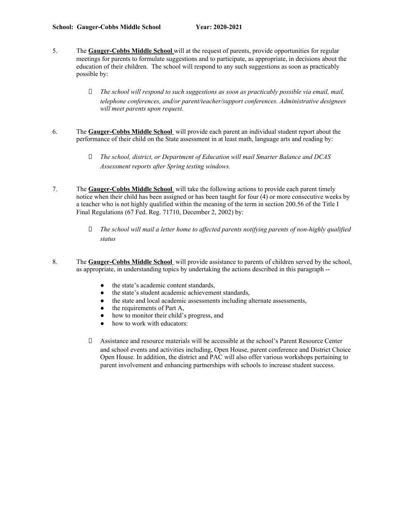- 5. The **Gauger-Cobbs Middle School** will at the request of parents, provide opportunities for regular meetings for parents to formulate suggestions and to participate, as appropriate, in decisions about the education of their children. The school will respond to any such suggestions as soon as practicably possible by:
	- *The school will respond to such suggestions as soon as practicably possible via email, mail, telephone conferences, and/or parent/teacher/support conferences. Administrative designees will meet parents upon request.*
- 6. The **Gauger-Cobbs Middle School** will provide each parent an individual student report about the performance of their child on the State assessment in at least math, language arts and reading by:
	- *The school, district, or Department of Education will mail Smarter Balance and DCAS Assessment reports after Spring testing windows.*
- 7. The **Gauger-Cobbs Middle School** will take the following actions to provide each parent timely notice when their child has been assigned or has been taught for four (4) or more consecutive weeks by a teacher who is not highly qualified within the meaning of the term in section 200.56 of the Title I Final Regulations (67 Fed. Reg. 71710, December 2, 2002) by:
	- *The school will mail a letter home to af ected parents notifying parents of non-highly qualified status*
- 8. The **Gauger-Cobbs Middle School** will provide assistance to parents of children served by the school, as appropriate, in understanding topics by undertaking the actions described in this paragraph --
	- the state's academic content standards,
	- the state's student academic achievement standards,
	- the state and local academic assessments including alternate assessments,
	- the requirements of Part A.
	- how to monitor their child's progress, and
	- how to work with educators:
	- Assistance and resource materials will be accessible at the school's Parent Resource Center and school events and activities including, Open House, parent conference and District Choice Open House. In addition, the district and PAC will also offer various workshops pertaining to parent involvement and enhancing partnerships with schools to increase student success.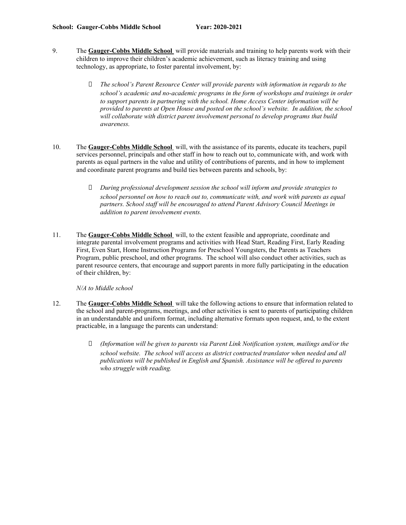- 9. The **Gauger-Cobbs Middle School** will provide materials and training to help parents work with their children to improve their children's academic achievement, such as literacy training and using technology, as appropriate, to foster parental involvement, by:
	- *The school's Parent Resource Center will provide parents with information in regards to the school's academic and no-academic programs in the form of workshops and trainings in order to support parents in partnering with the school. Home Access Center information will be provided to parents at Open House and posted on the school's website. In addition, the school will collaborate with district parent involvement personal to develop programs that build awareness.*
- 10. The **Gauger-Cobbs Middle School** will, with the assistance of its parents, educate its teachers, pupil services personnel, principals and other staff in how to reach out to, communicate with, and work with parents as equal partners in the value and utility of contributions of parents, and in how to implement and coordinate parent programs and build ties between parents and schools, by:
	- *During professional development session the school will inform and provide strategies to school personnel on how to reach out to, communicate with, and work with parents as equal partners. School staf will be encouraged to attend Parent Advisory Council Meetings in addition to parent involvement events.*
- 11. The **Gauger-Cobbs Middle School** will, to the extent feasible and appropriate, coordinate and integrate parental involvement programs and activities with Head Start, Reading First, Early Reading First, Even Start, Home Instruction Programs for Preschool Youngsters, the Parents as Teachers Program, public preschool, and other programs. The school will also conduct other activities, such as parent resource centers, that encourage and support parents in more fully participating in the education of their children, by:

*N/A to Middle school*

- 12. The **Gauger-Cobbs Middle School** will take the following actions to ensure that information related to the school and parent-programs, meetings, and other activities is sent to parents of participating children in an understandable and uniform format, including alternative formats upon request, and, to the extent practicable, in a language the parents can understand:
	- *(Information will be given to parents via Parent Link Notification system, mailings and/or the school website. The school will access as district contracted translator when needed and all publications will be published in English and Spanish. Assistance will be of ered to parents who struggle with reading.*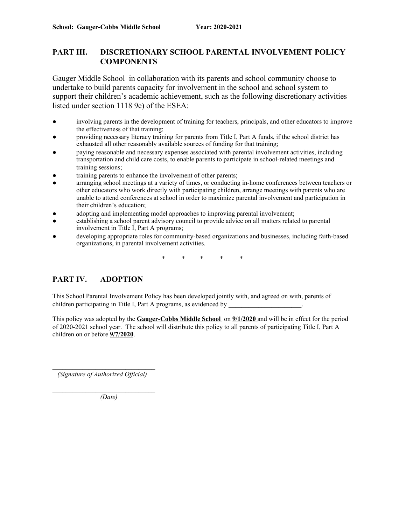#### **PART III. DISCRETIONARY SCHOOL PARENTAL INVOLVEMENT POLICY COMPONENTS**

Gauger Middle School in collaboration with its parents and school community choose to undertake to build parents capacity for involvement in the school and school system to support their children's academic achievement, such as the following discretionary activities listed under section 1118 9e) of the ESEA:

- involving parents in the development of training for teachers, principals, and other educators to improve the effectiveness of that training;
- providing necessary literacy training for parents from Title I, Part A funds, if the school district has exhausted all other reasonably available sources of funding for that training;
- paying reasonable and necessary expenses associated with parental involvement activities, including transportation and child care costs, to enable parents to participate in school-related meetings and training sessions;
- training parents to enhance the involvement of other parents;
- arranging school meetings at a variety of times, or conducting in-home conferences between teachers or other educators who work directly with participating children, arrange meetings with parents who are unable to attend conferences at school in order to maximize parental involvement and participation in their children's education;
- adopting and implementing model approaches to improving parental involvement;
- establishing a school parent advisory council to provide advice on all matters related to parental involvement in Title I, Part A programs;
- developing appropriate roles for community-based organizations and businesses, including faith-based organizations, in parental involvement activities.

\* \* \* \* \*

#### **PART IV. ADOPTION**

This School Parental Involvement Policy has been developed jointly with, and agreed on with, parents of children participating in Title I, Part A programs, as evidenced by \_\_\_\_\_\_\_\_\_\_\_\_\_\_\_\_\_\_\_\_\_\_.

This policy was adopted by the **Gauger-Cobbs Middle School** on **9/1/2020** and will be in effect for the period of 2020-2021 school year. The school will distribute this policy to all parents of participating Title I, Part A children on or before **9/7/2020**.

\_\_*\_\_\_\_\_\_\_\_\_\_\_\_\_\_\_\_\_\_\_\_\_\_\_\_\_\_\_\_\_ (Signature of Authorized Of icial)*

*\_\_\_\_\_\_\_\_\_\_\_\_\_\_\_\_\_\_\_\_\_\_\_\_\_\_\_\_\_\_\_ (Date)*